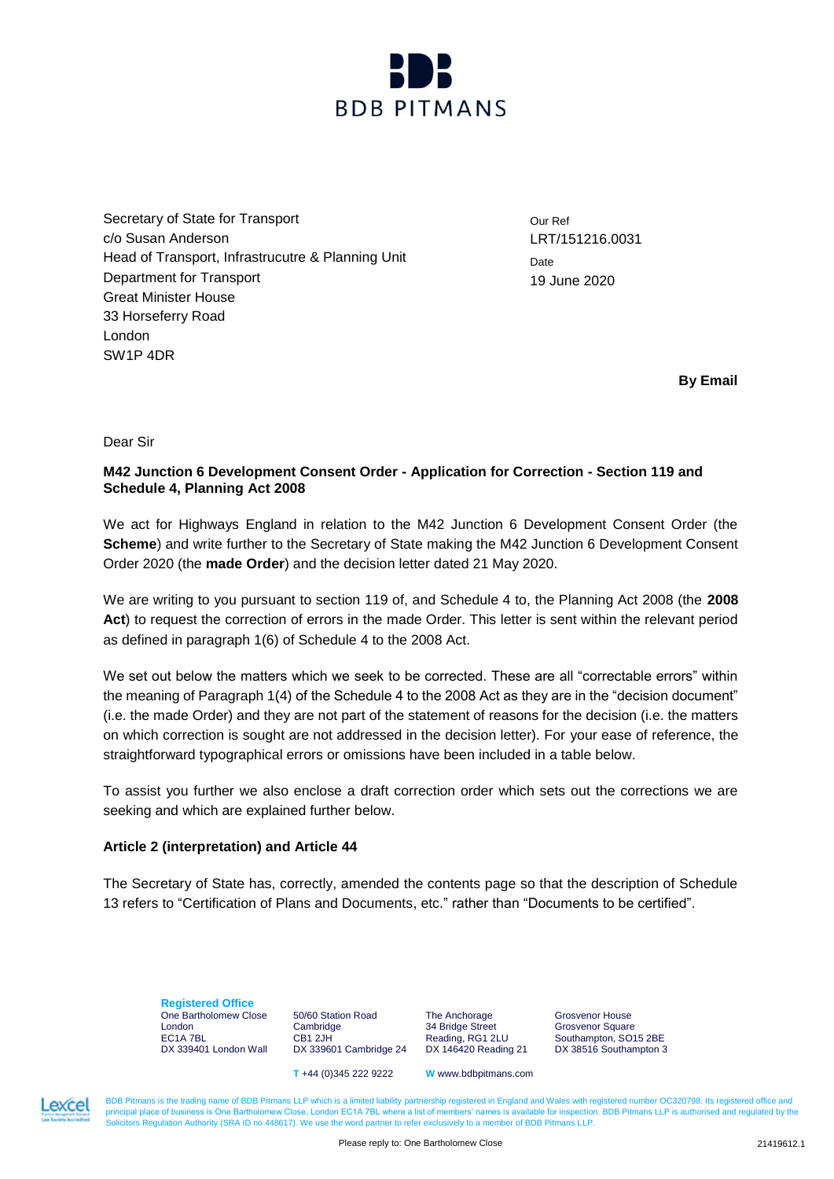

Secretary of State for Transport c/o Susan Anderson Head of Transport, Infrastrucutre & Planning Unit Department for Transport Great Minister House 33 Horseferry Road London SW1P 4DR

Our Ref LRT/151216.0031 **Date** 19 June 2020

**By Email**

Dear Sir

# **M42 Junction 6 Development Consent Order - Application for Correction - Section 119 and Schedule 4, Planning Act 2008**

We act for Highways England in relation to the M42 Junction 6 Development Consent Order (the **Scheme**) and write further to the Secretary of State making the M42 Junction 6 Development Consent Order 2020 (the **made Order**) and the decision letter dated 21 May 2020.

We are writing to you pursuant to section 119 of, and Schedule 4 to, the Planning Act 2008 (the **2008** Act) to request the correction of errors in the made Order. This letter is sent within the relevant period as defined in paragraph 1(6) of Schedule 4 to the 2008 Act.

We set out below the matters which we seek to be corrected. These are all "correctable errors" within the meaning of Paragraph 1(4) of the Schedule 4 to the 2008 Act as they are in the "decision document" (i.e. the made Order) and they are not part of the statement of reasons for the decision (i.e. the matters on which correction is sought are not addressed in the decision letter). For your ease of reference, the straightforward typographical errors or omissions have been included in a table below.

To assist you further we also enclose a draft correction order which sets out the corrections we are seeking and which are explained further below.

# **Article 2 (interpretation) and Article 44**

The Secretary of State has, correctly, amended the contents page so that the description of Schedule 13 refers to "Certification of Plans and Documents, etc." rather than "Documents to be certified".

**Registered Office** One Bartholomew Close London EC1A 7BL DX 339401 London Wall

50/60 Station Road Cambridge CB1 2JH DX 339601 Cambridge 24

The Anchorage 34 Bridge Street Reading, RG1 2LU DX 146420 Reading 21 Grosvenor House Grosvenor Square Southampton, SO15 2BE DX 38516 Southampton 3

**T** +44 (0)345 222 9222 **W** www.bdbpitmans.com

BDB Pitmans is the trading name of BDB Pitmans LLP which is a limited liability partnership registered in England and Wales with registered number OC320798. Its registered office and principal place of business is One Bart principal place of business is One Bartholomew Close, London EC1A 7BL where a list of mem Solicitors Regulation Authority (SRA ID no 448617). We use the word partner to refer exclusively to a member of BDB Pitmans LLP.

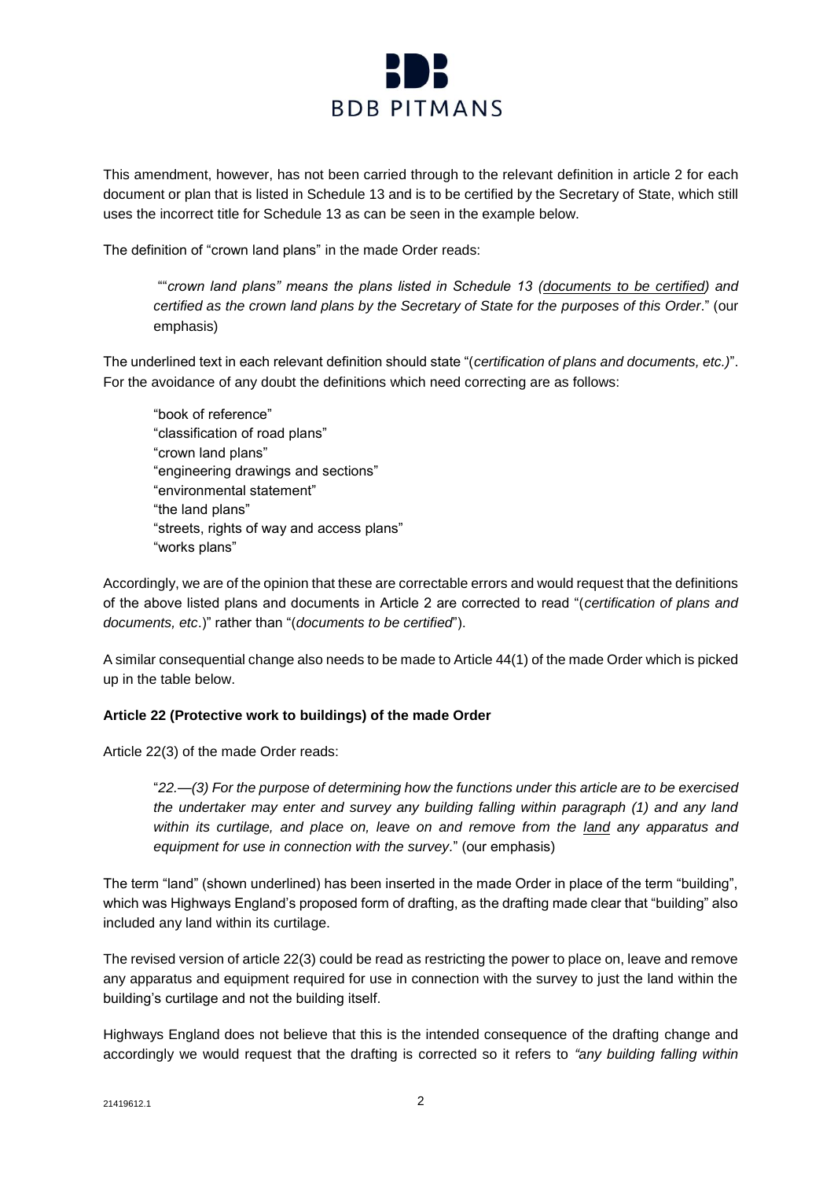

This amendment, however, has not been carried through to the relevant definition in article 2 for each document or plan that is listed in Schedule 13 and is to be certified by the Secretary of State, which still uses the incorrect title for Schedule 13 as can be seen in the example below.

The definition of "crown land plans" in the made Order reads:

""*crown land plans" means the plans listed in Schedule 13 (documents to be certified) and certified as the crown land plans by the Secretary of State for the purposes of this Order*." (our emphasis)

The underlined text in each relevant definition should state "(*certification of plans and documents, etc.)*". For the avoidance of any doubt the definitions which need correcting are as follows:

"book of reference" "classification of road plans" "crown land plans" "engineering drawings and sections" "environmental statement" "the land plans" "streets, rights of way and access plans" "works plans"

Accordingly, we are of the opinion that these are correctable errors and would request that the definitions of the above listed plans and documents in Article 2 are corrected to read "(*certification of plans and documents, etc*.)" rather than "(*documents to be certified*").

A similar consequential change also needs to be made to Article 44(1) of the made Order which is picked up in the table below.

# **Article 22 (Protective work to buildings) of the made Order**

Article 22(3) of the made Order reads:

"*22.—(3) For the purpose of determining how the functions under this article are to be exercised the undertaker may enter and survey any building falling within paragraph (1) and any land within its curtilage, and place on, leave on and remove from the land any apparatus and equipment for use in connection with the survey.*" (our emphasis)

The term "land" (shown underlined) has been inserted in the made Order in place of the term "building", which was Highways England's proposed form of drafting, as the drafting made clear that "building" also included any land within its curtilage.

The revised version of article 22(3) could be read as restricting the power to place on, leave and remove any apparatus and equipment required for use in connection with the survey to just the land within the building's curtilage and not the building itself.

Highways England does not believe that this is the intended consequence of the drafting change and accordingly we would request that the drafting is corrected so it refers to *"any building falling within*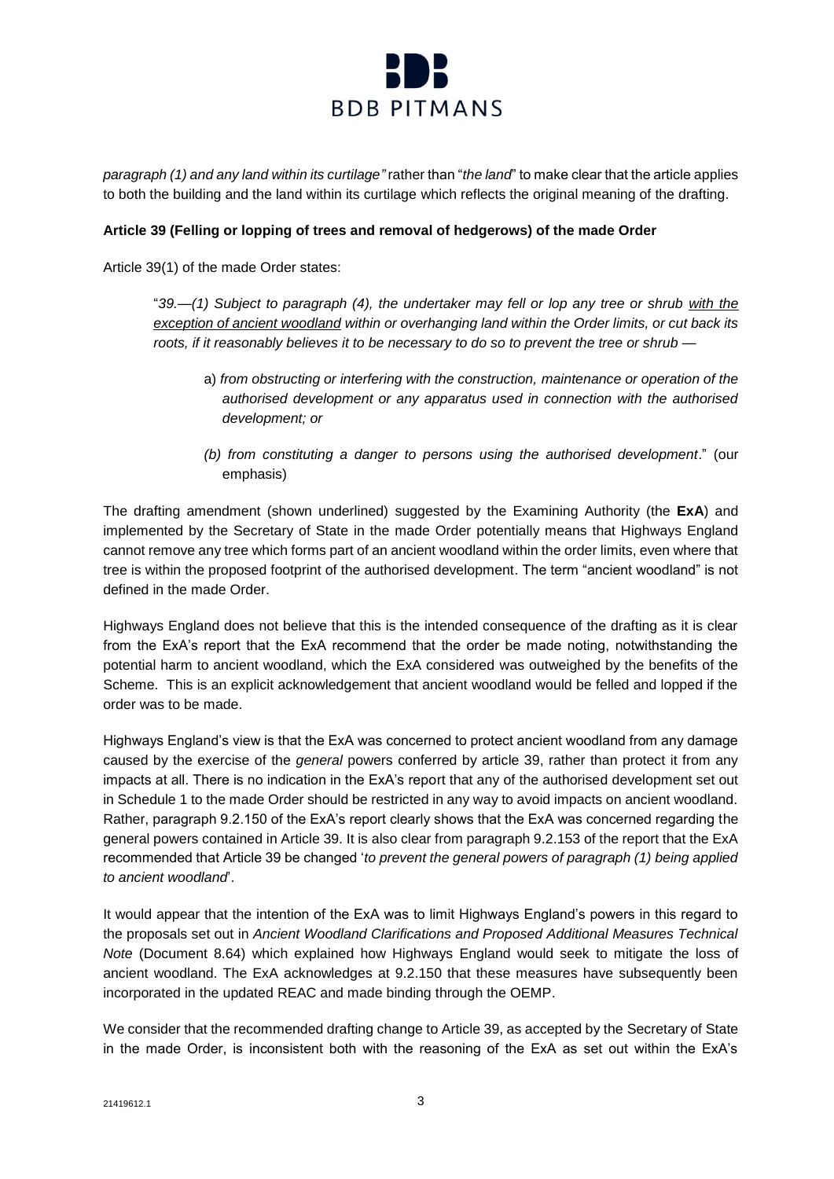

*paragraph (1) and any land within its curtilage"* rather than "*the land*" to make clear that the article applies to both the building and the land within its curtilage which reflects the original meaning of the drafting.

## **Article 39 (Felling or lopping of trees and removal of hedgerows) of the made Order**

Article 39(1) of the made Order states:

"*39.—(1) Subject to paragraph (4), the undertaker may fell or lop any tree or shrub with the exception of ancient woodland within or overhanging land within the Order limits, or cut back its roots, if it reasonably believes it to be necessary to do so to prevent the tree or shrub —*

- a) *from obstructing or interfering with the construction, maintenance or operation of the authorised development or any apparatus used in connection with the authorised development; or*
- *(b) from constituting a danger to persons using the authorised development*." (our emphasis)

The drafting amendment (shown underlined) suggested by the Examining Authority (the **ExA**) and implemented by the Secretary of State in the made Order potentially means that Highways England cannot remove any tree which forms part of an ancient woodland within the order limits, even where that tree is within the proposed footprint of the authorised development. The term "ancient woodland" is not defined in the made Order.

Highways England does not believe that this is the intended consequence of the drafting as it is clear from the ExA's report that the ExA recommend that the order be made noting, notwithstanding the potential harm to ancient woodland, which the ExA considered was outweighed by the benefits of the Scheme. This is an explicit acknowledgement that ancient woodland would be felled and lopped if the order was to be made.

Highways England's view is that the ExA was concerned to protect ancient woodland from any damage caused by the exercise of the *general* powers conferred by article 39, rather than protect it from any impacts at all. There is no indication in the ExA's report that any of the authorised development set out in Schedule 1 to the made Order should be restricted in any way to avoid impacts on ancient woodland. Rather, paragraph 9.2.150 of the ExA's report clearly shows that the ExA was concerned regarding the general powers contained in Article 39. It is also clear from paragraph 9.2.153 of the report that the ExA recommended that Article 39 be changed '*to prevent the general powers of paragraph (1) being applied to ancient woodland*'.

It would appear that the intention of the ExA was to limit Highways England's powers in this regard to the proposals set out in *Ancient Woodland Clarifications and Proposed Additional Measures Technical Note* (Document 8.64) which explained how Highways England would seek to mitigate the loss of ancient woodland. The ExA acknowledges at 9.2.150 that these measures have subsequently been incorporated in the updated REAC and made binding through the OEMP.

We consider that the recommended drafting change to Article 39, as accepted by the Secretary of State in the made Order, is inconsistent both with the reasoning of the ExA as set out within the ExA's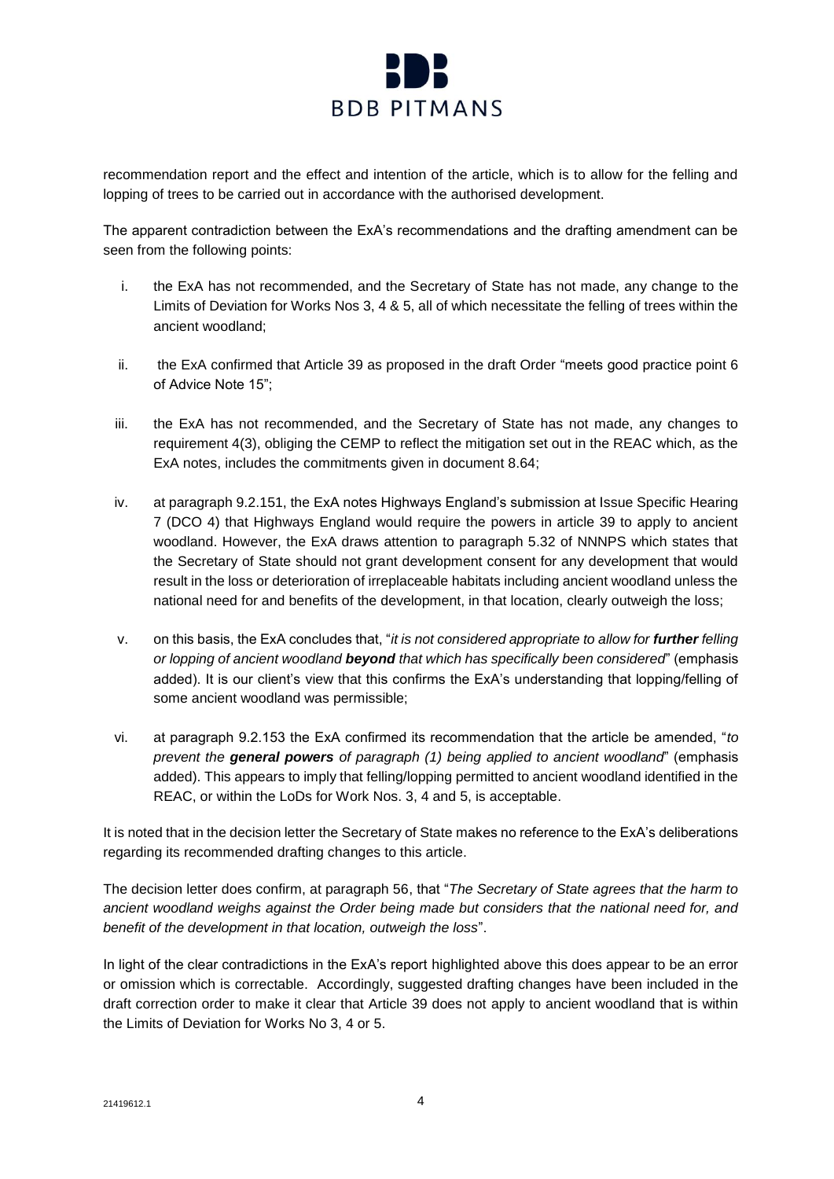

recommendation report and the effect and intention of the article, which is to allow for the felling and lopping of trees to be carried out in accordance with the authorised development.

The apparent contradiction between the ExA's recommendations and the drafting amendment can be seen from the following points:

- i. the ExA has not recommended, and the Secretary of State has not made, any change to the Limits of Deviation for Works Nos 3, 4 & 5, all of which necessitate the felling of trees within the ancient woodland;
- ii. the ExA confirmed that Article 39 as proposed in the draft Order "meets good practice point 6 of Advice Note 15";
- iii. the ExA has not recommended, and the Secretary of State has not made, any changes to requirement 4(3), obliging the CEMP to reflect the mitigation set out in the REAC which, as the ExA notes, includes the commitments given in document 8.64;
- iv. at paragraph 9.2.151, the ExA notes Highways England's submission at Issue Specific Hearing 7 (DCO 4) that Highways England would require the powers in article 39 to apply to ancient woodland. However, the ExA draws attention to paragraph 5.32 of NNNPS which states that the Secretary of State should not grant development consent for any development that would result in the loss or deterioration of irreplaceable habitats including ancient woodland unless the national need for and benefits of the development, in that location, clearly outweigh the loss;
- v. on this basis, the ExA concludes that, "*it is not considered appropriate to allow for further felling or lopping of ancient woodland beyond that which has specifically been considered*" (emphasis added). It is our client's view that this confirms the ExA's understanding that lopping/felling of some ancient woodland was permissible;
- vi. at paragraph 9.2.153 the ExA confirmed its recommendation that the article be amended, "*to prevent the general powers of paragraph (1) being applied to ancient woodland*" (emphasis added). This appears to imply that felling/lopping permitted to ancient woodland identified in the REAC, or within the LoDs for Work Nos. 3, 4 and 5, is acceptable.

It is noted that in the decision letter the Secretary of State makes no reference to the ExA's deliberations regarding its recommended drafting changes to this article.

The decision letter does confirm, at paragraph 56, that "*The Secretary of State agrees that the harm to ancient woodland weighs against the Order being made but considers that the national need for, and benefit of the development in that location, outweigh the loss*".

In light of the clear contradictions in the ExA's report highlighted above this does appear to be an error or omission which is correctable. Accordingly, suggested drafting changes have been included in the draft correction order to make it clear that Article 39 does not apply to ancient woodland that is within the Limits of Deviation for Works No 3, 4 or 5.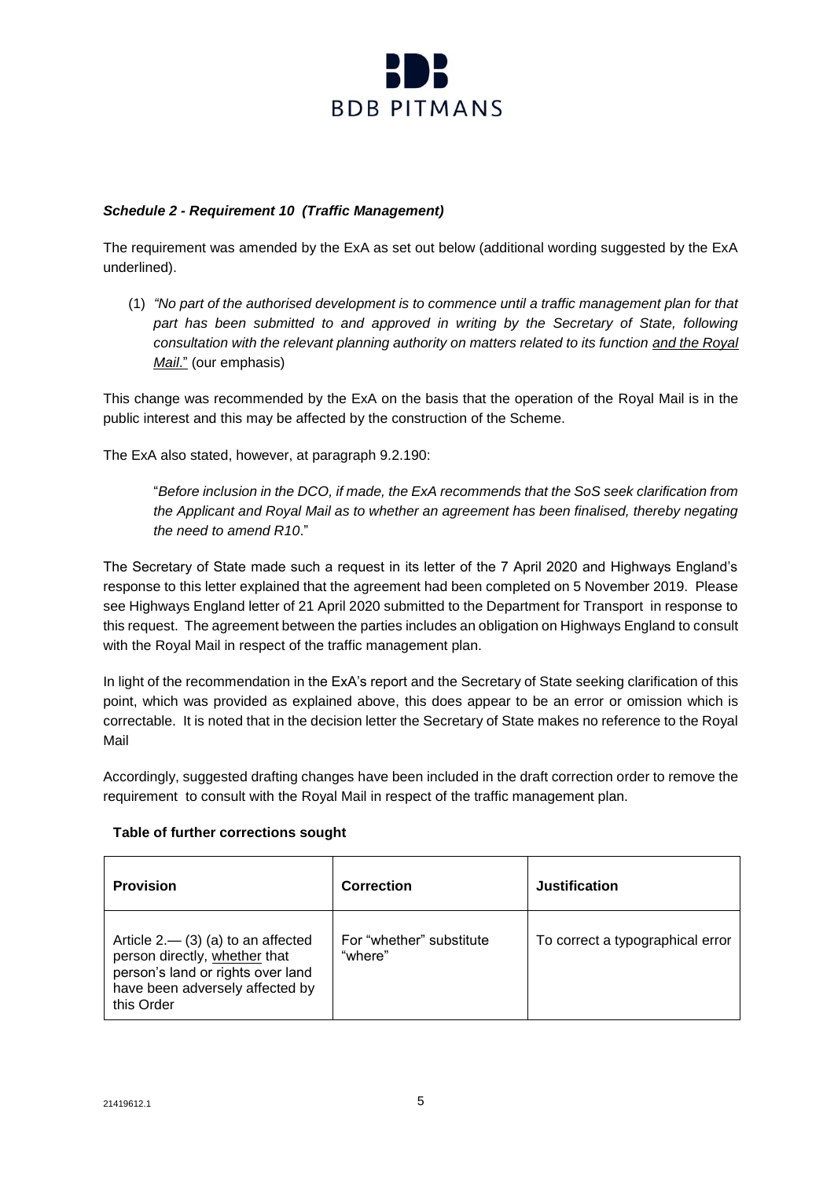

# *Schedule 2 - Requirement 10 (Traffic Management)*

The requirement was amended by the ExA as set out below (additional wording suggested by the ExA underlined).

(1) *"No part of the authorised development is to commence until a traffic management plan for that*  part has been submitted to and approved in writing by the Secretary of State, following *consultation with the relevant planning authority on matters related to its function and the Royal Mail*." (our emphasis)

This change was recommended by the ExA on the basis that the operation of the Royal Mail is in the public interest and this may be affected by the construction of the Scheme.

The ExA also stated, however, at paragraph 9.2.190:

"*Before inclusion in the DCO, if made, the ExA recommends that the SoS seek clarification from the Applicant and Royal Mail as to whether an agreement has been finalised, thereby negating the need to amend R10*."

The Secretary of State made such a request in its letter of the 7 April 2020 and Highways England's response to this letter explained that the agreement had been completed on 5 November 2019. Please see Highways England letter of 21 April 2020 submitted to the Department for Transport in response to this request. The agreement between the parties includes an obligation on Highways England to consult with the Royal Mail in respect of the traffic management plan.

In light of the recommendation in the ExA's report and the Secretary of State seeking clarification of this point, which was provided as explained above, this does appear to be an error or omission which is correctable. It is noted that in the decision letter the Secretary of State makes no reference to the Royal Mail

Accordingly, suggested drafting changes have been included in the draft correction order to remove the requirement to consult with the Royal Mail in respect of the traffic management plan.

### **Table of further corrections sought**

| <b>Provision</b>                                                                                                                                            | Correction                          | Justification                    |
|-------------------------------------------------------------------------------------------------------------------------------------------------------------|-------------------------------------|----------------------------------|
| Article $2 - (3)$ (a) to an affected<br>person directly, whether that<br>person's land or rights over land<br>have been adversely affected by<br>this Order | For "whether" substitute<br>"where" | To correct a typographical error |